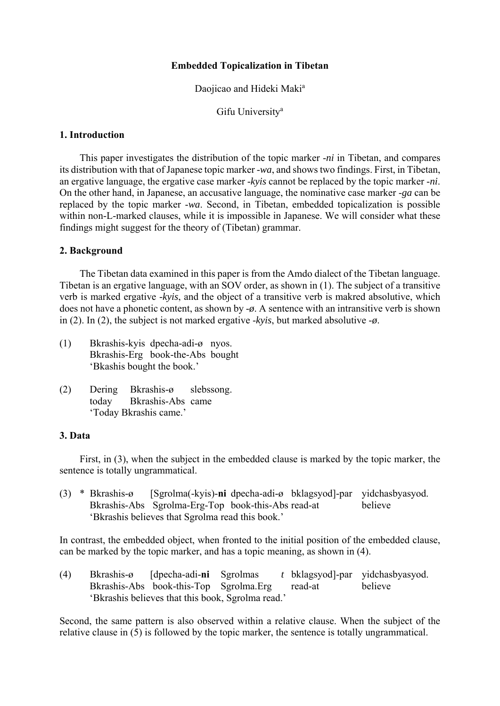#### **Embedded Topicalization in Tibetan**

#### Daojicao and Hideki Maki<sup>a</sup>

Gifu University<sup>a</sup>

#### **1. Introduction**

 This paper investigates the distribution of the topic marker -*ni* in Tibetan, and compares its distribution with that of Japanese topic marker -*wa*, and shows two findings. First, in Tibetan, an ergative language, the ergative case marker -*kyis* cannot be replaced by the topic marker -*ni*. On the other hand, in Japanese, an accusative language, the nominative case marker -*ga* can be replaced by the topic marker -*wa*. Second, in Tibetan, embedded topicalization is possible within non-L-marked clauses, while it is impossible in Japanese. We will consider what these findings might suggest for the theory of (Tibetan) grammar.

#### **2. Background**

 The Tibetan data examined in this paper is from the Amdo dialect of the Tibetan language. Tibetan is an ergative language, with an SOV order, as shown in (1). The subject of a transitive verb is marked ergative -*kyis*, and the object of a transitive verb is makred absolutive, which does not have a phonetic content, as shown by -*ø*. A sentence with an intransitive verb is shown in (2). In (2), the subject is not marked ergative -*kyis*, but marked absolutive -*ø*.

- (1) Bkrashis-kyis dpecha-adi-ø nyos. Bkrashis-Erg book-the-Abs bought 'Bkashis bought the book.'
- (2) Dering Bkrashis-ø slebssong. today Bkrashis-Abs came 'Today Bkrashis came.'

## **3. Data**

 First, in (3), when the subject in the embedded clause is marked by the topic marker, the sentence is totally ungrammatical.

(3) \* Bkrashis-ø [Sgrolma(-kyis)-**ni** dpecha-adi-ø bklagsyod]-par yidchasbyasyod. Bkrashis-Abs Sgrolma-Erg-Top book-this-Abs read-at believe 'Bkrashis believes that Sgrolma read this book.'

In contrast, the embedded object, when fronted to the initial position of the embedded clause, can be marked by the topic marker, and has a topic meaning, as shown in (4).

(4) Bkrashis-ø [dpecha-adi-**ni** Sgrolmas *t* bklagsyod]-par yidchasbyasyod. Bkrashis-Abs book-this-Top Sgrolma.Erg read-at believe 'Bkrashis believes that this book, Sgrolma read.'

Second, the same pattern is also observed within a relative clause. When the subject of the relative clause in (5) is followed by the topic marker, the sentence is totally ungrammatical.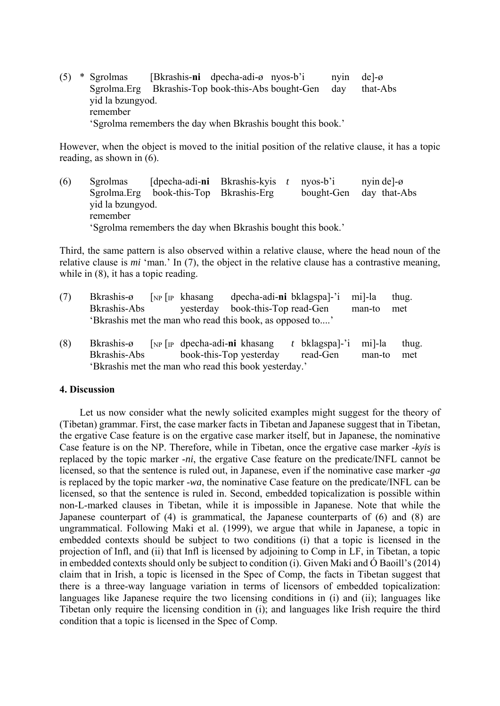(5) \* Sgrolmas [Bkrashis-**ni** dpecha-adi-ø nyos-b'i nyin de]-ø Sgrolma.Erg Bkrashis-Top book-this-Abs bought-Gen day that-Abs yid la bzungyod. remember 'Sgrolma remembers the day when Bkrashis bought this book.'

However, when the object is moved to the initial position of the relative clause, it has a topic reading, as shown in (6).

(6) Sgrolmas [dpecha-adi-**ni** Bkrashis-kyis *t* nyos-b'i nyin de]-ø Sgrolma.Erg book-this-Top Bkrashis-Erg bought-Gen day that-Abs yid la bzungyod. remember 'Sgrolma remembers the day when Bkrashis bought this book.'

Third, the same pattern is also observed within a relative clause, where the head noun of the relative clause is *mi* 'man.' In (7), the object in the relative clause has a contrastive meaning, while in  $(8)$ , it has a topic reading.

- (7) Bkrashis-ø [NP [IP khasang dpecha-adi-**ni** bklagspa]-'i mi]-la thug. Bkrashis-Abs yesterday book-this-Top read-Gen man-to met 'Bkrashis met the man who read this book, as opposed to....'
- (8) Bkrashis-ø [NP [IP dpecha-adi-**ni** khasang *t* bklagspa]-'i mi]-la thug. Bkrashis-Abs book-this-Top yesterday read-Gen man-to met 'Bkrashis met the man who read this book yesterday.'

#### **4. Discussion**

 Let us now consider what the newly solicited examples might suggest for the theory of (Tibetan) grammar. First, the case marker facts in Tibetan and Japanese suggest that in Tibetan, the ergative Case feature is on the ergative case marker itself, but in Japanese, the nominative Case feature is on the NP. Therefore, while in Tibetan, once the ergative case marker -*kyis* is replaced by the topic marker -*ni*, the ergative Case feature on the predicate/INFL cannot be licensed, so that the sentence is ruled out, in Japanese, even if the nominative case marker -*ga* is replaced by the topic marker -*wa*, the nominative Case feature on the predicate/INFL can be licensed, so that the sentence is ruled in. Second, embedded topicalization is possible within non-L-marked clauses in Tibetan, while it is impossible in Japanese. Note that while the Japanese counterpart of (4) is grammatical, the Japanese counterparts of (6) and (8) are ungrammatical. Following Maki et al. (1999), we argue that while in Japanese, a topic in embedded contexts should be subject to two conditions (i) that a topic is licensed in the projection of Infl, and (ii) that Infl is licensed by adjoining to Comp in LF, in Tibetan, a topic in embedded contexts should only be subject to condition (i). Given Maki and Ó Baoill's (2014) claim that in Irish, a topic is licensed in the Spec of Comp, the facts in Tibetan suggest that there is a three-way language variation in terms of licensors of embedded topicalization: languages like Japanese require the two licensing conditions in (i) and (ii); languages like Tibetan only require the licensing condition in (i); and languages like Irish require the third condition that a topic is licensed in the Spec of Comp.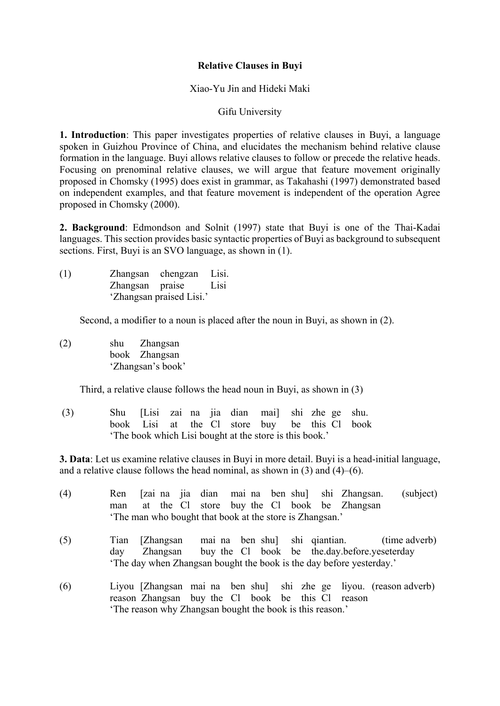# **Relative Clauses in Buyi**

## Xiao-Yu Jin and Hideki Maki

## Gifu University

**1. Introduction**: This paper investigates properties of relative clauses in Buyi, a language spoken in Guizhou Province of China, and elucidates the mechanism behind relative clause formation in the language. Buyi allows relative clauses to follow or precede the relative heads. Focusing on prenominal relative clauses, we will argue that feature movement originally proposed in Chomsky (1995) does exist in grammar, as Takahashi (1997) demonstrated based on independent examples, and that feature movement is independent of the operation Agree proposed in Chomsky (2000).

**2. Background**: Edmondson and Solnit (1997) state that Buyi is one of the Thai-Kadai languages. This section provides basic syntactic properties of Buyi as background to subsequent sections. First, Buyi is an SVO language, as shown in  $(1)$ .

(1) Zhangsan chengzan Lisi. Zhangsan praise Lisi 'Zhangsan praised Lisi.'

Second, a modifier to a noun is placed after the noun in Buyi, as shown in (2).

(2) shu Zhangsan book Zhangsan 'Zhangsan's book'

Third, a relative clause follows the head noun in Buyi, as shown in (3)

 (3) Shu [Lisi zai na jia dian mai] shi zhe ge shu. book Lisi at the Cl store buy be this Cl book 'The book which Lisi bought at the store is this book.'

**3. Data**: Let us examine relative clauses in Buyi in more detail. Buyi is a head-initial language, and a relative clause follows the head nominal, as shown in  $(3)$  and  $(4)$ – $(6)$ .

(4) Ren [zai na jia dian mai na ben shu] shi Zhangsan. (subject) man at the Cl store buy the Cl book be Zhangsan 'The man who bought that book at the store is Zhangsan.' (5) Tian [Zhangsan mai na ben shu] shi qiantian. (time adverb) day Zhangsan buy the Cl book be the.day.before.yeseterday 'The day when Zhangsan bought the book is the day before yesterday.' (6) Liyou [Zhangsan mai na ben shu] shi zhe ge liyou. (reason adverb) reason Zhangsan buy the Cl book be this Cl reason

'The reason why Zhangsan bought the book is this reason.'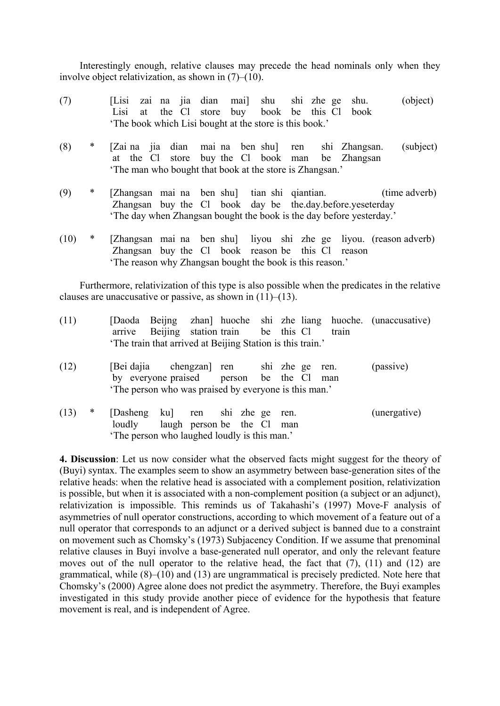Interestingly enough, relative clauses may precede the head nominals only when they involve object relativization, as shown in (7)–(10).

- (7) [Lisi zai na jia dian mai] shu shi zhe ge shu. (object) Lisi at the Cl store buy book be this Cl book 'The book which Lisi bought at the store is this book.'
- (8) \* [Zai na jia dian mai na ben shu] ren shi Zhangsan. (subject) at the Cl store buy the Cl book man be Zhangsan 'The man who bought that book at the store is Zhangsan.'
- (9) \* [Zhangsan mai na ben shu] tian shi qiantian. (time adverb) Zhangsan buy the Cl book day be the.day.before.yeseterday 'The day when Zhangsan bought the book is the day before yesterday.'
- (10) \* [Zhangsan mai na ben shu] liyou shi zhe ge liyou. (reason adverb) Zhangsan buy the Cl book reason be this Cl reason 'The reason why Zhangsan bought the book is this reason.'

 Furthermore, relativization of this type is also possible when the predicates in the relative clauses are unaccusative or passive, as shown in  $(11)–(13)$ .

| (11) |   | arrive Beijing station train be this Cl<br>'The train that arrived at Beijing Station is this train.'                                        |  |  |      | train | [Daoda Beijng zhan] huoche shi zhe liang huoche. (unaccusative) |
|------|---|----------------------------------------------------------------------------------------------------------------------------------------------|--|--|------|-------|-----------------------------------------------------------------|
| (12) |   | [Bei dajia chengzan] ren shi zhe ge ren.<br>by everyone praised person be the Cl man<br>The person who was praised by everyone is this man.' |  |  |      |       | (passive)                                                       |
| (13) | ∗ | [Dasheng ku] ren shi zhe ge<br>loudly laugh person be the Cl man<br>'The person who laughed loudly is this man.'                             |  |  | ren. |       | (unergative)                                                    |

**4. Discussion**: Let us now consider what the observed facts might suggest for the theory of (Buyi) syntax. The examples seem to show an asymmetry between base-generation sites of the relative heads: when the relative head is associated with a complement position, relativization is possible, but when it is associated with a non-complement position (a subject or an adjunct), relativization is impossible. This reminds us of Takahashi's (1997) Move-F analysis of asymmetries of null operator constructions, according to which movement of a feature out of a null operator that corresponds to an adjunct or a derived subject is banned due to a constraint on movement such as Chomsky's (1973) Subjacency Condition. If we assume that prenominal relative clauses in Buyi involve a base-generated null operator, and only the relevant feature moves out of the null operator to the relative head, the fact that (7), (11) and (12) are grammatical, while (8)–(10) and (13) are ungrammatical is precisely predicted. Note here that Chomsky's (2000) Agree alone does not predict the asymmetry. Therefore, the Buyi examples investigated in this study provide another piece of evidence for the hypothesis that feature movement is real, and is independent of Agree.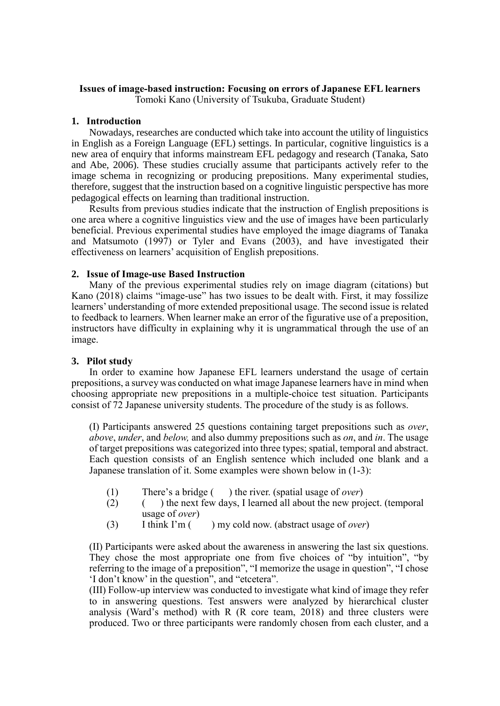# **Issues of image-based instruction: Focusing on errors of Japanese EFL learners**

Tomoki Kano (University of Tsukuba, Graduate Student)

#### **1. Introduction**

Nowadays, researches are conducted which take into account the utility of linguistics in English as a Foreign Language (EFL) settings. In particular, cognitive linguistics is a new area of enquiry that informs mainstream EFL pedagogy and research (Tanaka, Sato and Abe, 2006). These studies crucially assume that participants actively refer to the image schema in recognizing or producing prepositions. Many experimental studies, therefore, suggest that the instruction based on a cognitive linguistic perspective has more pedagogical effects on learning than traditional instruction.

Results from previous studies indicate that the instruction of English prepositions is one area where a cognitive linguistics view and the use of images have been particularly beneficial. Previous experimental studies have employed the image diagrams of Tanaka and Matsumoto (1997) or Tyler and Evans (2003), and have investigated their effectiveness on learners' acquisition of English prepositions.

### **2. Issue of Image-use Based Instruction**

Many of the previous experimental studies rely on image diagram (citations) but Kano (2018) claims "image-use" has two issues to be dealt with. First, it may fossilize learners' understanding of more extended prepositional usage. The second issue is related to feedback to learners. When learner make an error of the figurative use of a preposition, instructors have difficulty in explaining why it is ungrammatical through the use of an image.

### **3. Pilot study**

In order to examine how Japanese EFL learners understand the usage of certain prepositions, a survey was conducted on what image Japanese learners have in mind when choosing appropriate new prepositions in a multiple-choice test situation. Participants consist of 72 Japanese university students. The procedure of the study is as follows.

(I) Participants answered 25 questions containing target prepositions such as *over*, *above*, *under*, and *below,* and also dummy prepositions such as *on*, and *in*. The usage of target prepositions was categorized into three types; spatial, temporal and abstract. Each question consists of an English sentence which included one blank and a Japanese translation of it. Some examples were shown below in (1-3):

- (1) There's a bridge (b) the river. (spatial usage of *over*)<br>(2) (b) the next few days. I learned all about the new pro
- $($ ) the next few days. I learned all about the new project. (temporal usage of *over*)
- (3) I think I'm ( ) my cold now. (abstract usage of *over*)

(II) Participants were asked about the awareness in answering the last six questions. They chose the most appropriate one from five choices of "by intuition", "by referring to the image of a preposition", "I memorize the usage in question", "I chose 'I don't know' in the question", and "etcetera".

(III) Follow-up interview was conducted to investigate what kind of image they refer to in answering questions. Test answers were analyzed by hierarchical cluster analysis (Ward's method) with R (R core team, 2018) and three clusters were produced. Two or three participants were randomly chosen from each cluster, and a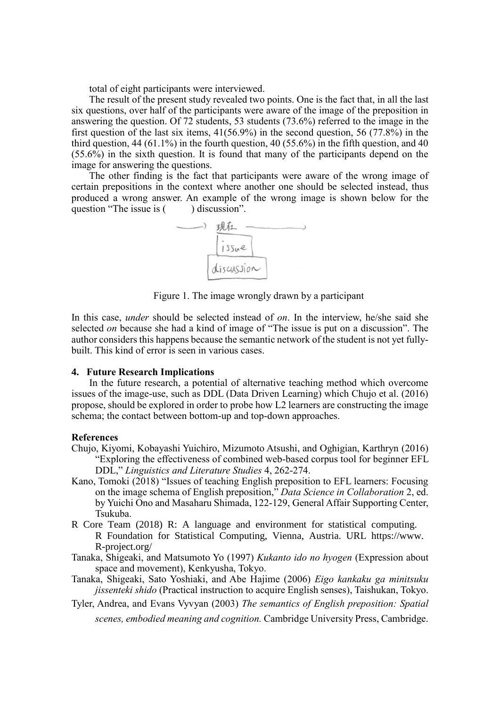total of eight participants were interviewed.

The result of the present study revealed two points. One is the fact that, in all the last six questions, over half of the participants were aware of the image of the preposition in answering the question. Of 72 students, 53 students (73.6%) referred to the image in the first question of the last six items, 41(56.9%) in the second question, 56 (77.8%) in the third question, 44 (61.1%) in the fourth question, 40 (55.6%) in the fifth question, and 40 (55.6%) in the sixth question. It is found that many of the participants depend on the image for answering the questions.

The other finding is the fact that participants were aware of the wrong image of certain prepositions in the context where another one should be selected instead, thus produced a wrong answer. An example of the wrong image is shown below for the question "The issue is () discussion".



Figure 1. The image wrongly drawn by a participant

In this case, *under* should be selected instead of *on*. In the interview, he/she said she selected *on* because she had a kind of image of "The issue is put on a discussion". The author considers this happens because the semantic network of the student is not yet fullybuilt. This kind of error is seen in various cases.

#### **4. Future Research Implications**

In the future research, a potential of alternative teaching method which overcome issues of the image-use, such as DDL (Data Driven Learning) which Chujo et al. (2016) propose, should be explored in order to probe how L2 learners are constructing the image schema; the contact between bottom-up and top-down approaches.

#### **References**

- Chujo, Kiyomi, Kobayashi Yuichiro, Mizumoto Atsushi, and Oghigian, Karthryn (2016) "Exploring the effectiveness of combined web-based corpus tool for beginner EFL DDL," *Linguistics and Literature Studies* 4, 262-274.
- Kano, Tomoki (2018) "Issues of teaching English preposition to EFL learners: Focusing on the image schema of English preposition," *Data Science in Collaboration* 2, ed. by Yuichi Ono and Masaharu Shimada, 122-129, General Affair Supporting Center, Tsukuba.
- R Core Team (2018) R: A language and environment for statistical computing. R Foundation for Statistical Computing, Vienna, Austria. URL https://www. R-project.org/
- Tanaka, Shigeaki, and Matsumoto Yo (1997) *Kukanto ido no hyogen* (Expression about space and movement), Kenkyusha, Tokyo.
- Tanaka, Shigeaki, Sato Yoshiaki, and Abe Hajime (2006) *Eigo kankaku ga minitsuku jissenteki shido* (Practical instruction to acquire English senses), Taishukan, Tokyo.
- Tyler, Andrea, and Evans Vyvyan (2003) *The semantics of English preposition: Spatial*

*scenes, embodied meaning and cognition.* Cambridge University Press, Cambridge.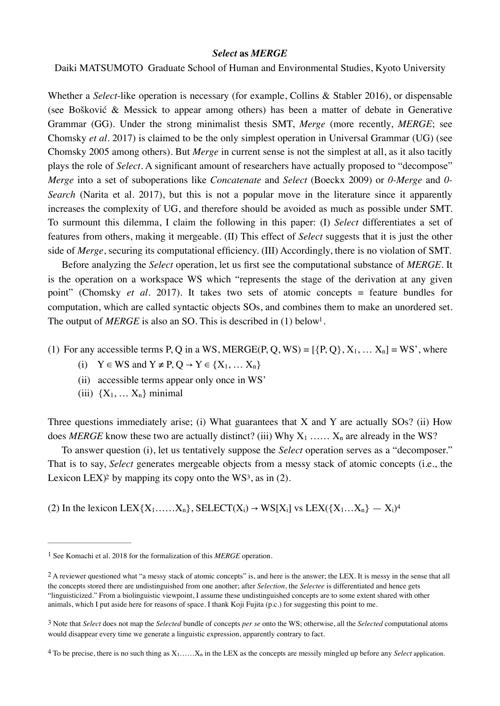#### *Select* **as** *MERGE*

Daiki MATSUMOTO Graduate School of Human and Environmental Studies, Kyoto University

Whether a *Select*-like operation is necessary (for example, Collins & Stabler 2016), or dispensable (see Bošković & Messick to appear among others) has been a matter of debate in Generative Grammar (GG). Under the strong minimalist thesis SMT, *Merge* (more recently, *MERGE*; see Chomsky *et al*. 2017) is claimed to be the only simplest operation in Universal Grammar (UG) (see Chomsky 2005 among others). But *Merge* in current sense is not the simplest at all, as it also tacitly plays the role of *Select*. A significant amount of researchers have actually proposed to "decompose" *Merge* into a set of suboperations like *Concatenate* and *Select* (Boeckx 2009) or *0-Merge* and *0- Search* (Narita et al. 2017), but this is not a popular move in the literature since it apparently increases the complexity of UG, and therefore should be avoided as much as possible under SMT. To surmount this dilemma, I claim the following in this paper: (I) *Select* differentiates a set of features from others, making it mergeable. (Ⅱ) This effect of *Select* suggests that it is just the other side of *Merge*, securing its computational efficiency. (Ⅲ) Accordingly, there is no violation of SMT.

 Before analyzing the *Select* operation, let us first see the computational substance of *MERGE*. It is the operation on a workspace WS which "represents the stage of the derivation at any given point" (Chomsky *et al.* 2017). It takes two sets of atomic concepts = feature bundles for computation, which are called syntactic objects SOs, and combines them to make an unordered set. The output of  $MERGE$  is also an SO. This is described in ([1](#page-6-0)) below<sup>1</sup>.

(1) For any accessible terms P, Q in a WS, MERGE(P, Q, WS) =  $[\{P, Q\}, X_1, \dots X_n] = WS'$ , where

- <span id="page-6-4"></span>(i)  $Y \in WS$  and  $Y \neq P, Q \rightarrow Y \in \{X_1, \dots, X_n\}$
- (ii) accessible terms appear only once in WS'
- <span id="page-6-7"></span><span id="page-6-6"></span>(iii)  ${X_1, \ldots X_n}$  minimal

Three questions immediately arise; (i) What guarantees that X and Y are actually SOs? (ii) How does *MERGE* know these two are actually distinct? (iii) Why  $X_1$  ……  $X_n$  are already in the WS?

<span id="page-6-5"></span> To answer question (i), let us tentatively suppose the *Select* operation serves as a "decomposer." That is to say, *Select* generates mergeable objects from a messy stack of atomic concepts (i.e., the Lexicon LEX $)$ <sup>2</sup> by mapping its copy onto the WS<sup>3</sup>, as in (2).

(2) In the lexicon LEX $\{X_1, \ldots, X_n\}$ , SELECT $(X_i) \rightarrow WS[X_i]$  vs LEX $(\{X_1, \ldots, X_n\} \rightarrow X_i)^4$  $(\{X_1, \ldots, X_n\} \rightarrow X_i)^4$ 

<span id="page-6-0"></span>[<sup>1</sup>](#page-6-4) See Komachi et al. 2018 for the formalization of this *MERGE* operation.

<span id="page-6-1"></span>[<sup>2</sup>](#page-6-5) A reviewer questioned what "a messy stack of atomic concepts" is, and here is the answer; the LEX. It is messy in the sense that all the concepts stored there are undistinguished from one another; after *Selection*, the *Selectee* is differentiated and hence gets "linguisticized." From a biolinguistic viewpoint, I assume these undistinguished concepts are to some extent shared with other animals, which I put aside here for reasons of space. I thank Koji Fujita (p.c.) for suggesting this point to me.

<span id="page-6-2"></span>[<sup>3</sup>](#page-6-6) Note that *Select* does not map the *Selected* bundle of concepts *per se* onto the WS; otherwise, all the *Selected* computational atoms would disappear every time we generate a linguistic expression, apparently contrary to fact.

<span id="page-6-3"></span> $4$  To be precise, there is no such thing as  $X_1$ …… $X_n$  in the LEX as the concepts are messily mingled up before any *Select* application.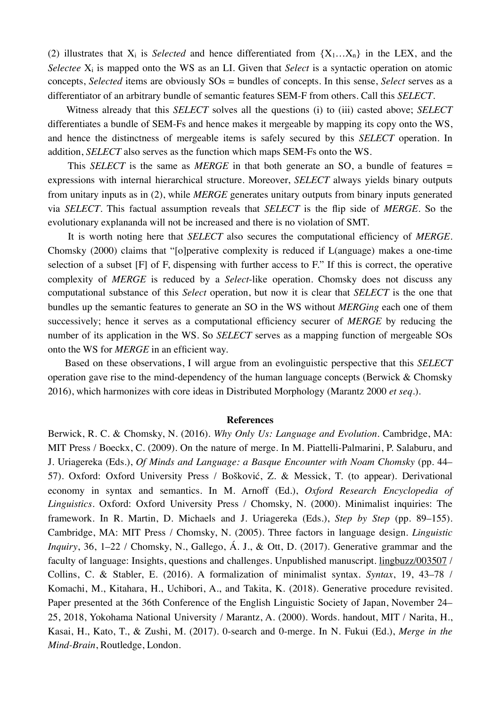(2) illustrates that  $X_i$  is *Selected* and hence differentiated from  $\{X_1...X_n\}$  in the LEX, and the *Selectee*  $X_i$  is mapped onto the WS as an LI. Given that *Select* is a syntactic operation on atomic concepts, *Selected* items are obviously SOs = bundles of concepts. In this sense, *Select* serves as a differentiator of an arbitrary bundle of semantic features SEM-F from others. Call this *SELECT*.

 Witness already that this *SELECT* solves all the questions (i) to (iii) casted above; *SELECT* differentiates a bundle of SEM-Fs and hence makes it mergeable by mapping its copy onto the WS, and hence the distinctness of mergeable items is safely secured by this *SELECT* operation. In addition, *SELECT* also serves as the function which maps SEM-Fs onto the WS.

This *SELECT* is the same as *MERGE* in that both generate an SO, a bundle of features = expressions with internal hierarchical structure. Moreover, *SELECT* always yields binary outputs from unitary inputs as in (2), while *MERGE* generates unitary outputs from binary inputs generated via *SELECT*. This factual assumption reveals that *SELECT* is the flip side of *MERGE*. So the evolutionary explananda will not be increased and there is no violation of SMT.

 It is worth noting here that *SELECT* also secures the computational efficiency of *MERGE*. Chomsky (2000) claims that "[o]perative complexity is reduced if L(anguage) makes a one-time selection of a subset [F] of F, dispensing with further access to F." If this is correct, the operative complexity of *MERGE* is reduced by a *Select*-like operation. Chomsky does not discuss any computational substance of this *Select* operation, but now it is clear that *SELECT* is the one that bundles up the semantic features to generate an SO in the WS without *MERGing* each one of them successively; hence it serves as a computational efficiency securer of *MERGE* by reducing the number of its application in the WS. So *SELECT* serves as a mapping function of mergeable SOs onto the WS for *MERGE* in an efficient way.

 Based on these observations, I will argue from an evolinguistic perspective that this *SELECT*  operation gave rise to the mind-dependency of the human language concepts (Berwick & Chomsky 2016), which harmonizes with core ideas in Distributed Morphology (Marantz 2000 *et seq*.).

#### **References**

Berwick, R. C. & Chomsky, N. (2016). *Why Only Us: Language and Evolution*. Cambridge, MA: MIT Press / Boeckx, C. (2009). On the nature of merge. In M. Piattelli-Palmarini, P. Salaburu, and J. Uriagereka (Eds.), *Of Minds and Language: a Basque Encounter with Noam Chomsky* (pp. 44– 57). Oxford: Oxford University Press / Bošković, Z. & Messick, T. (to appear). Derivational economy in syntax and semantics*.* In M. Arnoff (Ed.), *Oxford Research Encyclopedia of Linguistics*. Oxford: Oxford University Press / Chomsky, N. (2000). Minimalist inquiries: The framework. In R. Martin, D. Michaels and J. Uriagereka (Eds.), *Step by Step* (pp. 89–155). Cambridge, MA: MIT Press / Chomsky, N. (2005). Three factors in language design. *Linguistic Inquiry*, 36, 1–22 / Chomsky, N., Gallego, Á. J., & Ott, D. (2017). Generative grammar and the faculty of language: Insights, questions and challenges*.* Unpublished manuscript. lingbuzz/003507 / Collins, C. & Stabler, E. (2016). A formalization of minimalist syntax. *Syntax*, 19, 43–78 / Komachi, M., Kitahara, H., Uchibori, A., and Takita, K. (2018). Generative procedure revisited. Paper presented at the 36th Conference of the English Linguistic Society of Japan, November 24– 25, 2018, Yokohama National University / Marantz, A. (2000). Words. handout, MIT / Narita, H., Kasai, H., Kato, T., & Zushi, M. (2017). 0-search and 0-merge*.* In N. Fukui (Ed.), *Merge in the Mind-Brain*, Routledge, London.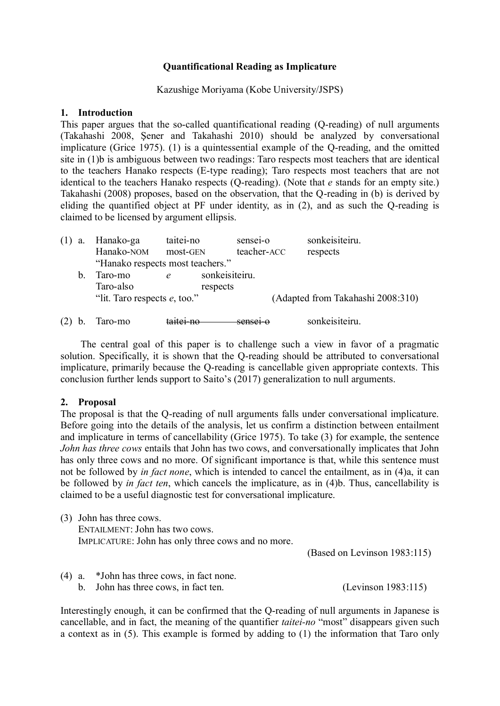# **Quantificational Reading as Implicature**

## Kazushige Moriyama (Kobe University/JSPS)

## **1. Introduction**

This paper argues that the so-called quantificational reading (Q-reading) of null arguments (Takahashi 2008, Şener and Takahashi 2010) should be analyzed by conversational implicature (Grice 1975). [\(1\)](#page-8-0) is a quintessential example of the Q-reading, and the omitted site in [\(1\)b](#page-8-0) is ambiguous between two readings: Taro respects most teachers that are identical to the teachers Hanako respects (E-type reading); Taro respects most teachers that are not identical to the teachers Hanako respects (Q-reading). (Note that *e* stands for an empty site.) Takahashi (2008) proposes, based on the observation, that the Q-reading in (b) is derived by eliding the quantified object at PF under identity, as in [\(2\),](#page-8-1) and as such the Q-reading is claimed to be licensed by argument ellipsis.

<span id="page-8-0"></span>

| (1)<br>a. | Hanako-ga                        | taitei-no | sensei-o       | sonkeisiteiru.                    |  |
|-----------|----------------------------------|-----------|----------------|-----------------------------------|--|
|           | Hanako-NOM                       | most-GEN  | teacher-ACC    | respects                          |  |
|           | "Hanako respects most teachers." |           |                |                                   |  |
| b.        | Taro-mo                          |           | sonkeisiteiru. |                                   |  |
|           | Taro-also                        |           | respects       |                                   |  |
|           | "lit. Taro respects $e$ , too."  |           |                | (Adapted from Takahashi 2008:310) |  |
|           |                                  |           | capge1         |                                   |  |
|           | Taro-mo                          |           |                | sonkeisiteiru.                    |  |

<span id="page-8-1"></span>The central goal of this paper is to challenge such a view in favor of a pragmatic solution. Specifically, it is shown that the Q-reading should be attributed to conversational implicature, primarily because the Q-reading is cancellable given appropriate contexts. This conclusion further lends support to Saito's (2017) generalization to null arguments.

# **2. Proposal**

The proposal is that the Q-reading of null arguments falls under conversational implicature. Before going into the details of the analysis, let us confirm a distinction between entailment and implicature in terms of cancellability (Grice 1975). To take [\(3\)](#page-8-2) for example, the sentence *John has three cows* entails that John has two cows, and conversationally implicates that John has only three cows and no more. Of significant importance is that, while this sentence must not be followed by *in fact none*, which is intended to cancel the entailment, as in [\(4\)a](#page-8-3), it can be followed by *in fact ten*, which cancels the implicature, as in [\(4\)b](#page-8-3). Thus, cancellability is claimed to be a useful diagnostic test for conversational implicature.

<span id="page-8-2"></span>(3) John has three cows. ENTAILMENT: John has two cows. IMPLICATURE: John has only three cows and no more.

(Based on Levinson 1983:115)

<span id="page-8-3"></span>(4) a. \*John has three cows, in fact none. b. John has three cows, in fact ten. (Levinson 1983:115)

Interestingly enough, it can be confirmed that the Q-reading of null arguments in Japanese is cancellable, and in fact, the meaning of the quantifier *taitei-no* "most" disappears given such a context as in [\(5\).](#page-9-0) This example is formed by adding to [\(1\)](#page-8-0) the information that Taro only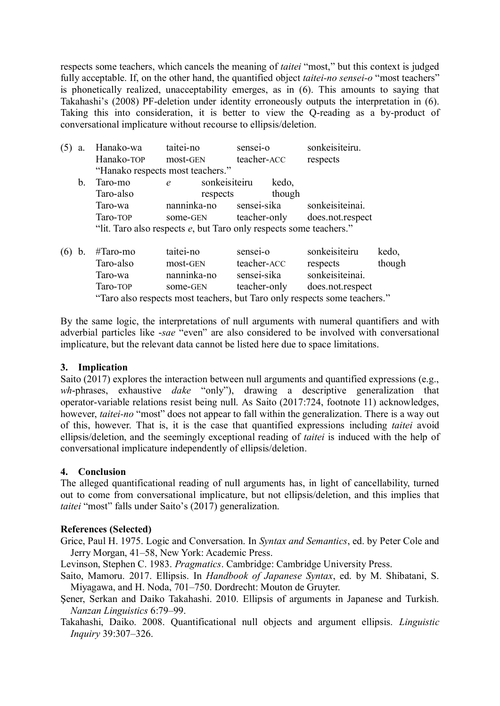respects some teachers, which cancels the meaning of *taitei* "most," but this context is judged fully acceptable. If, on the other hand, the quantified object *taitei-no sensei-o* "most teachers" is phonetically realized, unacceptability emerges, as in [\(6\).](#page-9-1) This amounts to saying that Takahashi's (2008) PF-deletion under identity erroneously outputs the interpretation in [\(6\).](#page-9-1) Taking this into consideration, it is better to view the Q-reading as a by-product of conversational implicature without recourse to ellipsis/deletion.

<span id="page-9-0"></span>

| $(5)$ a.    | Hanako-wa                                                          | taitei-no                        | sensei-o    | sonkeisiteiru.                |  |  |  |
|-------------|--------------------------------------------------------------------|----------------------------------|-------------|-------------------------------|--|--|--|
|             | Hanako-TOP most-GEN                                                |                                  | teacher-ACC | respects                      |  |  |  |
|             |                                                                    | "Hanako respects most teachers." |             |                               |  |  |  |
| $b_{\cdot}$ | Taro-mo                                                            | sonkeisiteiru<br>e               | kedo,       |                               |  |  |  |
|             | Taro-also                                                          | respects                         | though      |                               |  |  |  |
|             | Taro-wa                                                            | nanninka-no sensei-sika          |             | sonkeisiteinai.               |  |  |  |
|             | Taro-TOP                                                           | some-GEN                         |             | teacher-only does.not.respect |  |  |  |
|             | "lit. Taro also respects e, but Taro only respects some teachers." |                                  |             |                               |  |  |  |

<span id="page-9-1"></span>

| $(6)$ b.                                                                  | #Taro-mo  | taitei-no   | sensei-o     | sonkeisiteiru    | kedo,  |  |
|---------------------------------------------------------------------------|-----------|-------------|--------------|------------------|--------|--|
|                                                                           | Taro-also | most-GEN    | teacher-ACC  | respects         | though |  |
|                                                                           | Taro-wa   | nanninka-no | sensei-sika  | sonkeisiteinai.  |        |  |
|                                                                           | Taro-TOP  | some-GEN    | teacher-only | does.not.respect |        |  |
| "Taro also respects most teachers, but Taro only respects some teachers." |           |             |              |                  |        |  |

By the same logic, the interpretations of null arguments with numeral quantifiers and with adverbial particles like -*sae* "even" are also considered to be involved with conversational implicature, but the relevant data cannot be listed here due to space limitations.

### **3. Implication**

Saito (2017) explores the interaction between null arguments and quantified expressions (e.g., *wh*-phrases, exhaustive *dake* "only"), drawing a descriptive generalization that operator-variable relations resist being null. As Saito (2017:724, footnote 11) acknowledges, however, *taitei-no* "most" does not appear to fall within the generalization. There is a way out of this, however. That is, it is the case that quantified expressions including *taitei* avoid ellipsis/deletion, and the seemingly exceptional reading of *taitei* is induced with the help of conversational implicature independently of ellipsis/deletion.

# **4. Conclusion**

The alleged quantificational reading of null arguments has, in light of cancellability, turned out to come from conversational implicature, but not ellipsis/deletion, and this implies that *taitei* "most" falls under Saito's (2017) generalization.

# **References (Selected)**

Grice, Paul H. 1975. Logic and Conversation. In *Syntax and Semantics*, ed. by Peter Cole and Jerry Morgan, 41–58, New York: Academic Press.

Levinson, Stephen C. 1983. *Pragmatics*. Cambridge: Cambridge University Press.

- Saito, Mamoru. 2017. Ellipsis. In *Handbook of Japanese Syntax*, ed. by M. Shibatani, S. Miyagawa, and H. Noda, 701–750. Dordrecht: Mouton de Gruyter.
- Şener, Serkan and Daiko Takahashi. 2010. Ellipsis of arguments in Japanese and Turkish. *Nanzan Linguistics* 6:79–99.
- Takahashi, Daiko. 2008. Quantificational null objects and argument ellipsis. *Linguistic Inquiry* 39:307–326.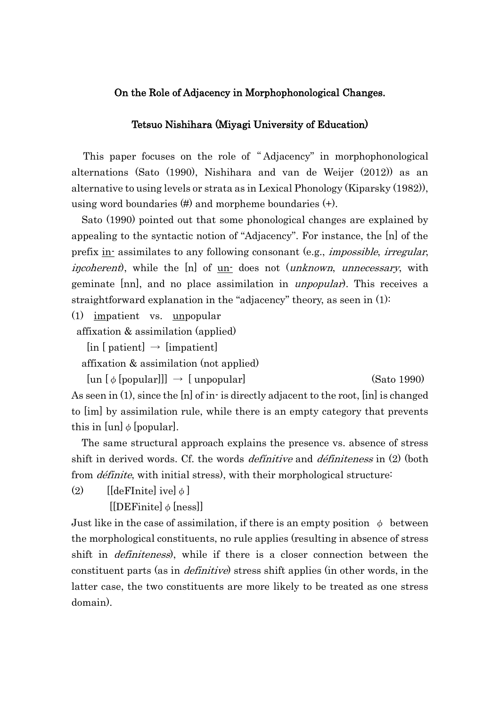# On the Role of Adjacency in Morphophonological Changes.

### Tetsuo Nishihara (Miyagi University of Education)

This paper focuses on the role of "Adjacency" in morphophonological alternations (Sato (1990), Nishihara and van de Weijer (2012)) as an alternative to using levels or strata as in Lexical Phonology (Kiparsky (1982)), using word boundaries (#) and morpheme boundaries (+).

Sato (1990) pointed out that some phonological changes are explained by appealing to the syntactic notion of "Adjacency". For instance, the [n] of the prefix in-assimilates to any following consonant (e.g., *impossible, irregular*, *incoherent*), while the [n] of <u>un-</u> does not (*unknown*, *unnecessary*, with geminate [nn], and no place assimilation in unpopular). This receives a straightforward explanation in the "adjacency" theory, as seen in (1):

(1) impatient vs. unpopular

affixation & assimilation (applied)

 $\left[ \text{in} \left[ \text{patient} \right] \rightarrow \left[ \text{impatient} \right] \right]$ 

affixation & assimilation (not applied)

 $[un [φ [popular]]] \rightarrow [unpopular]$  (Sato 1990)

As seen in (1), since the [n] of in- is directly adjacent to the root, [in] is changed to [im] by assimilation rule, while there is an empty category that prevents this in [un]  $\phi$  [popular].

The same structural approach explains the presence vs. absence of stress shift in derived words. Cf. the words *definitive* and *définiteness* in (2) (both from *définite*, with initial stress), with their morphological structure:

(2)  $\left[ [\text{defInite}] \text{ive} \right] \phi$ 

 $[[DEFinite] \phi [ness]]$ 

Just like in the case of assimilation, if there is an empty position  $\phi$  between the morphological constituents, no rule applies (resulting in absence of stress shift in *definiteness*), while if there is a closer connection between the constituent parts (as in definitive) stress shift applies (in other words, in the latter case, the two constituents are more likely to be treated as one stress domain).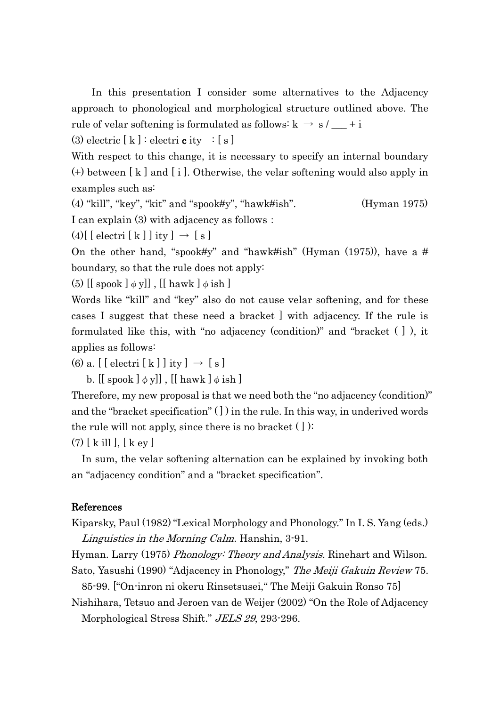In this presentation I consider some alternatives to the Adjacency approach to phonological and morphological structure outlined above. The rule of velar softening is formulated as follows:  $k \rightarrow s / - + i$ 

(3) electric  $[k]$  : electrice ity :  $[s]$ 

With respect to this change, it is necessary to specify an internal boundary (+) between [ k ] and [ i ]. Otherwise, the velar softening would also apply in examples such as:

(4) "kill", "key", "kit" and "spook#y", "hawk#ish". (Hyman 1975) I can explain (3) with adjacency as follows:

 $(4)$ [ [ electri [ k ] ] ity ]  $\rightarrow$  [ s ]

On the other hand, "spook#y" and "hawk#ish" (Hyman  $(1975)$ ), have a # boundary, so that the rule does not apply:

(5)  $[[$  spook  $]$   $\phi$  y]],  $[[$  hawk  $]$   $\phi$  ish  $]$ 

Words like "kill" and "key" also do not cause velar softening, and for these cases I suggest that these need a bracket ] with adjacency. If the rule is formulated like this, with "no adjacency (condition)" and "bracket ( ] ), it applies as follows:

(6) a.  $\left[\right[\right]$  electri $\left[\right]$  k  $\left[\right]$  j ity  $\left[\right]$   $\rightarrow$   $\left[\right]$  s  $\left[\right]$ 

b. [[ spook  $\phi$  y]], [[ hawk  $\phi$  ish ]

Therefore, my new proposal is that we need both the "no adjacency (condition)" and the "bracket specification" ( ] ) in the rule. In this way, in underived words the rule will not apply, since there is no bracket  $( )$ :

(7) [ k ill ], [ k ey ]

In sum, the velar softening alternation can be explained by invoking both an "adjacency condition" and a "bracket specification".

### References

Kiparsky, Paul (1982) "Lexical Morphology and Phonology." In I. S. Yang (eds.) Linguistics in the Morning Calm. Hanshin, 3-91.

Hyman. Larry (1975) *Phonology: Theory and Analysis.* Rinehart and Wilson. Sato, Yasushi (1990) "Adjacency in Phonology," The Meiji Gakuin Review 75.

85-99. ["On-inron ni okeru Rinsetsusei," The Meiji Gakuin Ronso 75]

Nishihara, Tetsuo and Jeroen van de Weijer (2002) "On the Role of Adjacency Morphological Stress Shift." JELS 29, 293-296.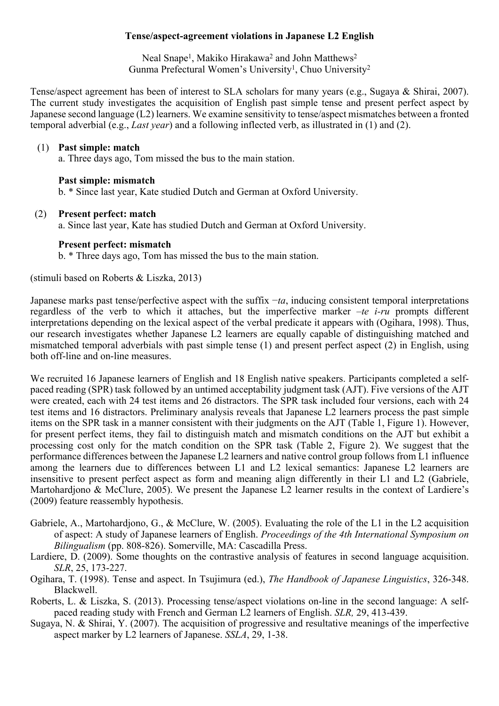# **Tense/aspect-agreement violations in Japanese L2 English**

Neal Snape<sup>1</sup>, Makiko Hirakawa<sup>2</sup> and John Matthews<sup>2</sup> Gunma Prefectural Women's University<sup>1</sup>, Chuo University<sup>2</sup>

Tense/aspect agreement has been of interest to SLA scholars for many years (e.g., Sugaya & Shirai, 2007). The current study investigates the acquisition of English past simple tense and present perfect aspect by Japanese second language (L2) learners. We examine sensitivity to tense/aspect mismatches between a fronted temporal adverbial (e.g., *Last year*) and a following inflected verb, as illustrated in (1) and (2).

## (1) **Past simple: match**

a. Three days ago, Tom missed the bus to the main station.

# **Past simple: mismatch**

b. \* Since last year, Kate studied Dutch and German at Oxford University.

# (2) **Present perfect: match**

a. Since last year, Kate has studied Dutch and German at Oxford University.

# **Present perfect: mismatch**

b. \* Three days ago, Tom has missed the bus to the main station.

(stimuli based on Roberts & Liszka, 2013)

Japanese marks past tense/perfective aspect with the suffix −*ta*, inducing consistent temporal interpretations regardless of the verb to which it attaches, but the imperfective marker –*te i-ru* prompts different interpretations depending on the lexical aspect of the verbal predicate it appears with (Ogihara, 1998). Thus, our research investigates whether Japanese L2 learners are equally capable of distinguishing matched and mismatched temporal adverbials with past simple tense (1) and present perfect aspect (2) in English, using both off-line and on-line measures.

We recruited 16 Japanese learners of English and 18 English native speakers. Participants completed a selfpaced reading (SPR) task followed by an untimed acceptability judgment task (AJT). Five versions of the AJT were created, each with 24 test items and 26 distractors. The SPR task included four versions, each with 24 test items and 16 distractors. Preliminary analysis reveals that Japanese L2 learners process the past simple items on the SPR task in a manner consistent with their judgments on the AJT (Table 1, Figure 1). However, for present perfect items, they fail to distinguish match and mismatch conditions on the AJT but exhibit a processing cost only for the match condition on the SPR task (Table 2, Figure 2). We suggest that the performance differences between the Japanese L2 learners and native control group follows from L1 influence among the learners due to differences between L1 and L2 lexical semantics: Japanese L2 learners are insensitive to present perfect aspect as form and meaning align differently in their L1 and L2 (Gabriele, Martohardjono & McClure, 2005). We present the Japanese L2 learner results in the context of Lardiere's (2009) feature reassembly hypothesis.

- Gabriele, A., Martohardjono, G., & McClure, W. (2005). Evaluating the role of the L1 in the L2 acquisition of aspect: A study of Japanese learners of English. *Proceedings of the 4th International Symposium on Bilingualism* (pp. 808-826). Somerville, MA: Cascadilla Press.
- Lardiere, D. (2009). Some thoughts on the contrastive analysis of features in second language acquisition. *SLR*, 25, 173-227.
- Ogihara, T. (1998). Tense and aspect. In Tsujimura (ed.), *The Handbook of Japanese Linguistics*, 326-348. Blackwell.
- Roberts, L. & Liszka, S. (2013). Processing tense/aspect violations on-line in the second language: A selfpaced reading study with French and German L2 learners of English. *SLR,* 29, 413-439.
- Sugaya, N. & Shirai, Y. (2007). The acquisition of progressive and resultative meanings of the imperfective aspect marker by L2 learners of Japanese. *SSLA*, 29, 1-38.